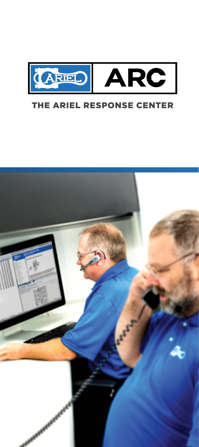

## THE ARIEL RESPONSE CENTER

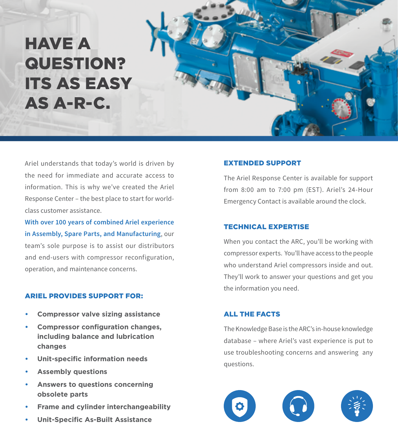# HAVE A QUESTION? ITS AS EASY AS A-R-C.



**With over 100 years of combined Ariel experience in Assembly, Spare Parts, and Manufacturing**, our team's sole purpose is to assist our distributors and end-users with compressor reconfiguration, operation, and maintenance concerns.

#### ARIEL PROVIDES SUPPORT FOR:

- **• Compressor valve sizing assistance**
- **Compressor** configuration changes, **including balance and lubrication changes**
- **• Unit-specific information needs**
- **• Assembly questions**
- **• Answers to questions concerning obsolete parts**
- **Frame and cylinder interchangeability**
- **• Unit-Specific As-Built Assistance**

#### EXTENDED SUPPORT

The Ariel Response Center is available for support from 8:00 am to 7:00 pm (EST). Ariel's 24-Hour Emergency Contact is available around the clock.

#### TECHNICAL EXPERTISE

When you contact the ARC, you'll be working with compressor experts. You'll have access to the people who understand Ariel compressors inside and out. They'll work to answer your questions and get you the information you need.

#### ALL THE FACTS

The Knowledge Base is the ARC's in-house knowledge database – where Ariel's vast experience is put to use troubleshooting concerns and answering any questions.